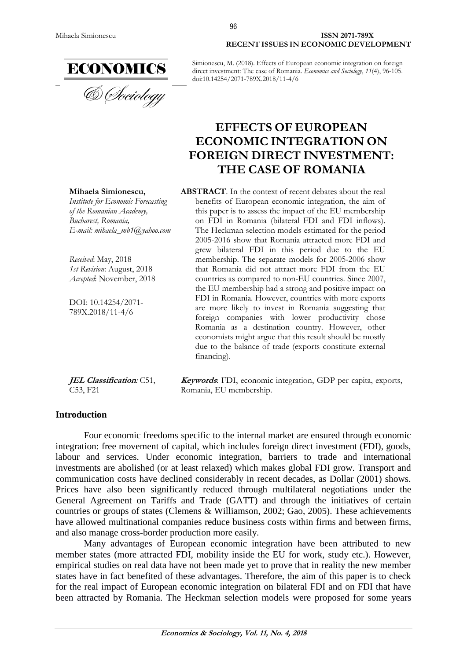

Simionescu, M. (2018). Effects of European economic integration on foreign direct investment: The case of Romania. *Economics and Sociology*, *11*(4), 96-105. doi:10.14254/2071-789X.2018/11-4/6

# **EFFECTS OF EUROPEAN ECONOMIC INTEGRATION ON FOREIGN DIRECT INVESTMENT: THE CASE OF ROMANIA**

**Mihaela Simionescu,** *Institute for Economic Forecasting of the Romanian Academy, Bucharest, Romania, E-mail: mihaela\_mb1@yahoo.com*

*Received*: May, 2018 *1st Revision*: August, 2018 *Accepted*: November, 2018

DOI: 10.14254/2071- 789X.2018/11-4/6

**JEL Classification***:* C51, C53, F21

**ABSTRACT**. In the context of recent debates about the real benefits of European economic integration, the aim of this paper is to assess the impact of the EU membership on FDI in Romania (bilateral FDI and FDI inflows). The Heckman selection models estimated for the period 2005-2016 show that Romania attracted more FDI and grew bilateral FDI in this period due to the EU membership. The separate models for 2005-2006 show that Romania did not attract more FDI from the EU countries as compared to non-EU countries. Since 2007, the EU membership had a strong and positive impact on FDI in Romania. However, countries with more exports are more likely to invest in Romania suggesting that foreign companies with lower productivity chose Romania as a destination country. However, other economists might argue that this result should be mostly due to the balance of trade (exports constitute external financing).

**Keywords**: FDI, economic integration, GDP per capita, exports, Romania, EU membership.

# **Introduction**

Four economic freedoms specific to the internal market are ensured through economic integration: free movement of capital, which includes foreign direct investment (FDI), goods, labour and services. Under economic integration, barriers to trade and international investments are abolished (or at least relaxed) which makes global FDI grow. Transport and communication costs have declined considerably in recent decades, as Dollar (2001) shows. Prices have also been significantly reduced through multilateral negotiations under the General Agreement on Tariffs and Trade (GATT) and through the initiatives of certain countries or groups of states (Clemens & Williamson, 2002; Gao, 2005). These achievements have allowed multinational companies reduce business costs within firms and between firms, and also manage cross-border production more easily.

Many advantages of European economic integration have been attributed to new member states (more attracted FDI, mobility inside the EU for work, study etc.). However, empirical studies on real data have not been made yet to prove that in reality the new member states have in fact benefited of these advantages. Therefore, the aim of this paper is to check for the real impact of European economic integration on bilateral FDI and on FDI that have been attracted by Romania. The Heckman selection models were proposed for some years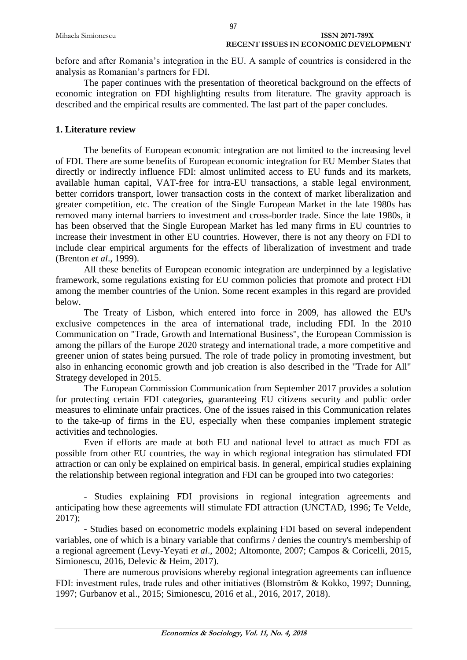|                    | 97                                    |  |
|--------------------|---------------------------------------|--|
| Mihaela Simionescu | ISSN 2071-789X                        |  |
|                    | RECENT ISSUES IN ECONOMIC DEVELOPMENT |  |

before and after Romania's integration in the EU. A sample of countries is considered in the analysis as Romanian's partners for FDI.

The paper continues with the presentation of theoretical background on the effects of economic integration on FDI highlighting results from literature. The gravity approach is described and the empirical results are commented. The last part of the paper concludes.

# **1. Literature review**

The benefits of European economic integration are not limited to the increasing level of FDI. There are some benefits of European economic integration for EU Member States that directly or indirectly influence FDI: almost unlimited access to EU funds and its markets, available human capital, VAT-free for intra-EU transactions, a stable legal environment, better corridors transport, lower transaction costs in the context of market liberalization and greater competition, etc. The creation of the Single European Market in the late 1980s has removed many internal barriers to investment and cross-border trade. Since the late 1980s, it has been observed that the Single European Market has led many firms in EU countries to increase their investment in other EU countries. However, there is not any theory on FDI to include clear empirical arguments for the effects of liberalization of investment and trade (Brenton *et al*., 1999).

All these benefits of European economic integration are underpinned by a legislative framework, some regulations existing for EU common policies that promote and protect FDI among the member countries of the Union. Some recent examples in this regard are provided below.

The Treaty of Lisbon, which entered into force in 2009, has allowed the EU's exclusive competences in the area of international trade, including FDI. In the 2010 Communication on "Trade, Growth and International Business", the European Commission is among the pillars of the Europe 2020 strategy and international trade, a more competitive and greener union of states being pursued. The role of trade policy in promoting investment, but also in enhancing economic growth and job creation is also described in the "Trade for All" Strategy developed in 2015.

The European Commission Communication from September 2017 provides a solution for protecting certain FDI categories, guaranteeing EU citizens security and public order measures to eliminate unfair practices. One of the issues raised in this Communication relates to the take-up of firms in the EU, especially when these companies implement strategic activities and technologies.

Even if efforts are made at both EU and national level to attract as much FDI as possible from other EU countries, the way in which regional integration has stimulated FDI attraction or can only be explained on empirical basis. In general, empirical studies explaining the relationship between regional integration and FDI can be grouped into two categories:

- Studies explaining FDI provisions in regional integration agreements and anticipating how these agreements will stimulate FDI attraction (UNCTAD, 1996; Te Velde, 2017);

- Studies based on econometric models explaining FDI based on several independent variables, one of which is a binary variable that confirms / denies the country's membership of a regional agreement (Levy-Yeyati *et al*., 2002; Altomonte, 2007; Campos & Coricelli, 2015, Simionescu, 2016, Delevic & Heim, 2017).

There are numerous provisions whereby regional integration agreements can influence FDI: investment rules, trade rules and other initiatives (Blomström & Kokko, 1997; Dunning, 1997; Gurbanov et al., 2015; Simionescu, 2016 et al., 2016, 2017, 2018).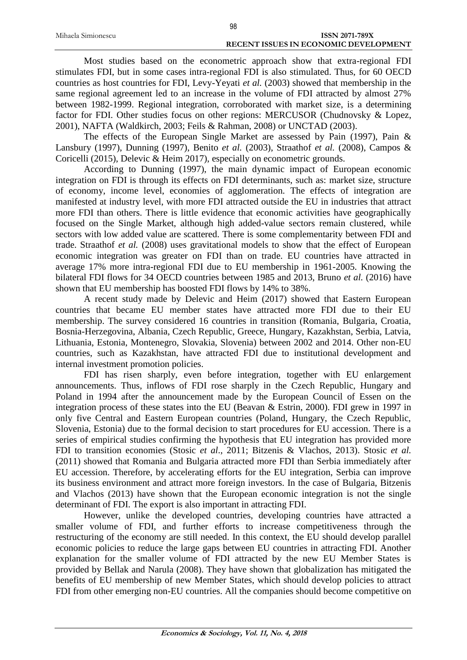| Mihaela Simionescu | <b>ISSN 2071-789X</b>                        |
|--------------------|----------------------------------------------|
|                    | <b>RECENT ISSUES IN ECONOMIC DEVELOPMENT</b> |

Most studies based on the econometric approach show that extra-regional FDI stimulates FDI, but in some cases intra-regional FDI is also stimulated. Thus, for 60 OECD countries as host countries for FDI, Levy-Yeyati *et al.* (2003) showed that membership in the same regional agreement led to an increase in the volume of FDI attracted by almost 27% between 1982-1999. Regional integration, corroborated with market size, is a determining factor for FDI. Other studies focus on other regions: MERCUSOR (Chudnovsky & Lopez, 2001), NAFTA (Waldkirch, 2003; Feils & Rahman, 2008) or UNCTAD (2003).

The effects of the European Single Market are assessed by Pain (1997), Pain & Lansbury (1997), Dunning (1997), Benito *et al.* (2003), Straathof *et al.* (2008), Campos & Coricelli (2015), Delevic & Heim 2017), especially on econometric grounds.

According to Dunning (1997), the main dynamic impact of European economic integration on FDI is through its effects on FDI determinants, such as: market size, structure of economy, income level, economies of agglomeration. The effects of integration are manifested at industry level, with more FDI attracted outside the EU in industries that attract more FDI than others. There is little evidence that economic activities have geographically focused on the Single Market, although high added-value sectors remain clustered, while sectors with low added value are scattered. There is some complementarity between FDI and trade. Straathof *et al.* (2008) uses gravitational models to show that the effect of European economic integration was greater on FDI than on trade. EU countries have attracted in average 17% more intra-regional FDI due to EU membership in 1961-2005. Knowing the bilateral FDI flows for 34 OECD countries between 1985 and 2013, Bruno *et al.* (2016) have shown that EU membership has boosted FDI flows by 14% to 38%.

A recent study made by Delevic and Heim (2017) showed that Eastern European countries that became EU member states have attracted more FDI due to their EU membership. The survey considered 16 countries in transition (Romania, Bulgaria, Croatia, Bosnia-Herzegovina, Albania, Czech Republic, Greece, Hungary, Kazakhstan, Serbia, Latvia, Lithuania, Estonia, Montenegro, Slovakia, Slovenia) between 2002 and 2014. Other non-EU countries, such as Kazakhstan, have attracted FDI due to institutional development and internal investment promotion policies.

FDI has risen sharply, even before integration, together with EU enlargement announcements. Thus, inflows of FDI rose sharply in the Czech Republic, Hungary and Poland in 1994 after the announcement made by the European Council of Essen on the integration process of these states into the EU (Beavan & Estrin, 2000). FDI grew in 1997 in only five Central and Eastern European countries (Poland, Hungary, the Czech Republic, Slovenia, Estonia) due to the formal decision to start procedures for EU accession. There is a series of empirical studies confirming the hypothesis that EU integration has provided more FDI to transition economies (Stosic *et al*., 2011; Bitzenis & Vlachos, 2013). Stosic *et al.* (2011) showed that Romania and Bulgaria attracted more FDI than Serbia immediately after EU accession. Therefore, by accelerating efforts for the EU integration, Serbia can improve its business environment and attract more foreign investors. In the case of Bulgaria, Bitzenis and Vlachos (2013) have shown that the European economic integration is not the single determinant of FDI. The export is also important in attracting FDI.

However, unlike the developed countries, developing countries have attracted a smaller volume of FDI, and further efforts to increase competitiveness through the restructuring of the economy are still needed. In this context, the EU should develop parallel economic policies to reduce the large gaps between EU countries in attracting FDI. Another explanation for the smaller volume of FDI attracted by the new EU Member States is provided by Bellak and Narula (2008). They have shown that globalization has mitigated the benefits of EU membership of new Member States, which should develop policies to attract FDI from other emerging non-EU countries. All the companies should become competitive on

98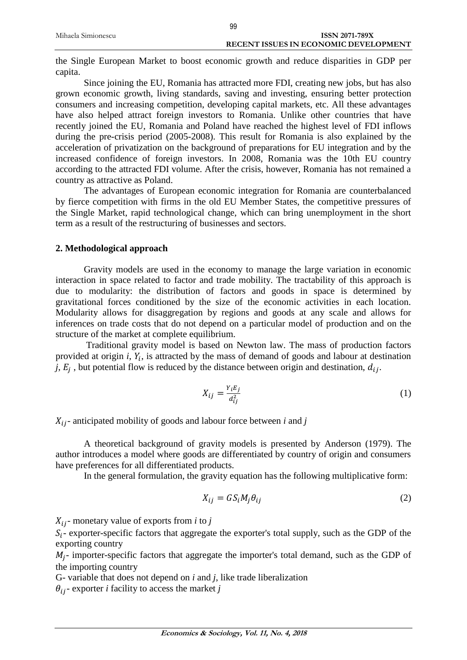|                    | 99                                           |
|--------------------|----------------------------------------------|
| Mihaela Simionescu | <b>ISSN 2071-789X</b>                        |
|                    | <b>RECENT ISSUES IN ECONOMIC DEVELOPMENT</b> |

the Single European Market to boost economic growth and reduce disparities in GDP per capita.

Since joining the EU, Romania has attracted more FDI, creating new jobs, but has also grown economic growth, living standards, saving and investing, ensuring better protection consumers and increasing competition, developing capital markets, etc. All these advantages have also helped attract foreign investors to Romania. Unlike other countries that have recently joined the EU, Romania and Poland have reached the highest level of FDI inflows during the pre-crisis period (2005-2008). This result for Romania is also explained by the acceleration of privatization on the background of preparations for EU integration and by the increased confidence of foreign investors. In 2008, Romania was the 10th EU country according to the attracted FDI volume. After the crisis, however, Romania has not remained a country as attractive as Poland.

The advantages of European economic integration for Romania are counterbalanced by fierce competition with firms in the old EU Member States, the competitive pressures of the Single Market, rapid technological change, which can bring unemployment in the short term as a result of the restructuring of businesses and sectors.

## **2. Methodological approach**

Gravity models are used in the economy to manage the large variation in economic interaction in space related to factor and trade mobility. The tractability of this approach is due to modularity: the distribution of factors and goods in space is determined by gravitational forces conditioned by the size of the economic activities in each location. Modularity allows for disaggregation by regions and goods at any scale and allows for inferences on trade costs that do not depend on a particular model of production and on the structure of the market at complete equilibrium.

Traditional gravity model is based on Newton law. The mass of production factors provided at origin  $i$ ,  $Y_i$ , is attracted by the mass of demand of goods and labour at destination *j*,  $E_j$ , but potential flow is reduced by the distance between origin and destination,  $d_{ij}$ .

$$
X_{ij} = \frac{Y_i E_j}{d_{ij}^2} \tag{1}
$$

 $X_{ij}$ - anticipated mobility of goods and labour force between *i* and *j* 

A theoretical background of gravity models is presented by Anderson (1979). The author introduces a model where goods are differentiated by country of origin and consumers have preferences for all differentiated products.

In the general formulation, the gravity equation has the following multiplicative form:

$$
X_{ij} = G S_i M_j \theta_{ij} \tag{2}
$$

 $X_{ij}$ - monetary value of exports from *i* to *j* 

 $S_i$ - exporter-specific factors that aggregate the exporter's total supply, such as the GDP of the exporting country

 $M_j$ - importer-specific factors that aggregate the importer's total demand, such as the GDP of the importing country

G- variable that does not depend on *i* and *j*, like trade liberalization

 $\theta_{ij}$ - exporter *i* facility to access the market *j*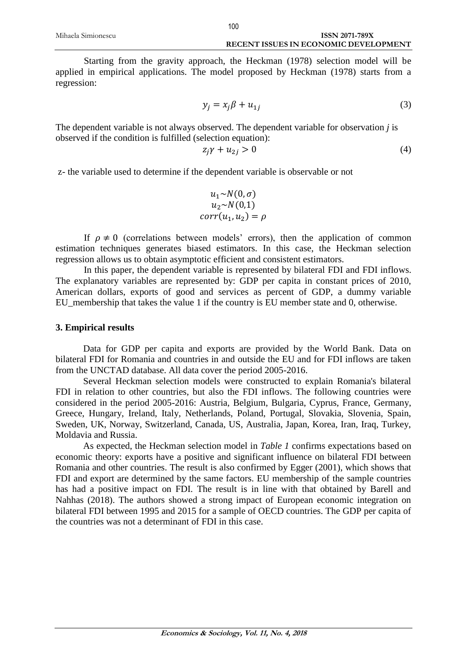Starting from the gravity approach, the Heckman (1978) selection model will be applied in empirical applications. The model proposed by Heckman (1978) starts from a regression:

$$
y_j = x_j \beta + u_{1j} \tag{3}
$$

The dependent variable is not always observed. The dependent variable for observation *j* is observed if the condition is fulfilled (selection equation):

$$
z_j \gamma + u_{2j} > 0 \tag{4}
$$

z- the variable used to determine if the dependent variable is observable or not

$$
u_1 \sim N(0, \sigma)
$$
  
\n
$$
u_2 \sim N(0, 1)
$$
  
\n
$$
corr(u_1, u_2) = \rho
$$

If  $\rho \neq 0$  (correlations between models' errors), then the application of common estimation techniques generates biased estimators. In this case, the Heckman selection regression allows us to obtain asymptotic efficient and consistent estimators.

In this paper, the dependent variable is represented by bilateral FDI and FDI inflows. The explanatory variables are represented by: GDP per capita in constant prices of 2010, American dollars, exports of good and services as percent of GDP, a dummy variable EU\_membership that takes the value 1 if the country is EU member state and 0, otherwise.

#### **3. Empirical results**

Data for GDP per capita and exports are provided by the World Bank. Data on bilateral FDI for Romania and countries in and outside the EU and for FDI inflows are taken from the UNCTAD database. All data cover the period 2005-2016.

Several Heckman selection models were constructed to explain Romania's bilateral FDI in relation to other countries, but also the FDI inflows. The following countries were considered in the period 2005-2016: Austria, Belgium, Bulgaria, Cyprus, France, Germany, Greece, Hungary, Ireland, Italy, Netherlands, Poland, Portugal, Slovakia, Slovenia, Spain, Sweden, UK, Norway, Switzerland, Canada, US, Australia, Japan, Korea, Iran, Iraq, Turkey, Moldavia and Russia.

As expected, the Heckman selection model in *Table 1* confirms expectations based on economic theory: exports have a positive and significant influence on bilateral FDI between Romania and other countries. The result is also confirmed by Egger (2001), which shows that FDI and export are determined by the same factors. EU membership of the sample countries has had a positive impact on FDI. The result is in line with that obtained by Barell and Nahhas (2018). The authors showed a strong impact of European economic integration on bilateral FDI between 1995 and 2015 for a sample of OECD countries. The GDP per capita of the countries was not a determinant of FDI in this case.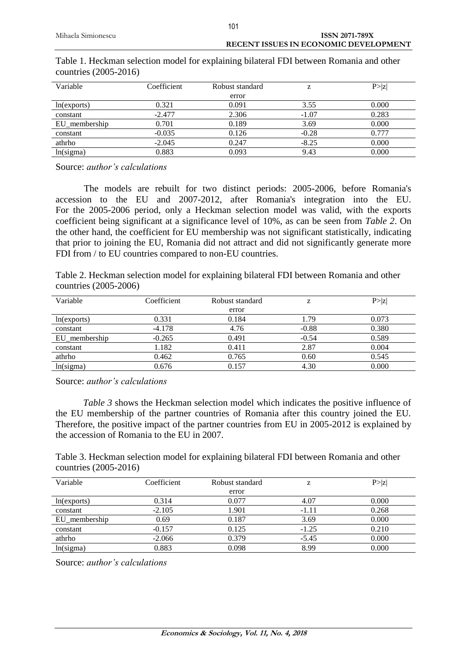| Variable      | Coefficient | Robust standard | z       | P >  z |
|---------------|-------------|-----------------|---------|--------|
|               |             | error           |         |        |
| ln(exports)   | 0.321       | 0.091           | 3.55    | 0.000  |
| constant      | $-2.477$    | 2.306           | $-1.07$ | 0.283  |
| EU membership | 0.701       | 0.189           | 3.69    | 0.000  |
| constant      | $-0.035$    | 0.126           | $-0.28$ | 0.777  |
| athrho        | $-2.045$    | 0.247           | $-8.25$ | 0.000  |
| ln(sigma)     | 0.883       | 0.093           | 9.43    | 0.000  |

# Table 1. Heckman selection model for explaining bilateral FDI between Romania and other countries (2005-2016)

101

Source: *author's calculations*

The models are rebuilt for two distinct periods: 2005-2006, before Romania's accession to the EU and 2007-2012, after Romania's integration into the EU. For the 2005-2006 period, only a Heckman selection model was valid, with the exports coefficient being significant at a significance level of 10%, as can be seen from *Table 2*. On the other hand, the coefficient for EU membership was not significant statistically, indicating that prior to joining the EU, Romania did not attract and did not significantly generate more FDI from / to EU countries compared to non-EU countries.

Table 2. Heckman selection model for explaining bilateral FDI between Romania and other countries (2005-2006)

| Variable      | Coefficient | Robust standard | Z       | P >  z |
|---------------|-------------|-----------------|---------|--------|
|               |             | error           |         |        |
| ln(exports)   | 0.331       | 0.184           | 1.79    | 0.073  |
| constant      | $-4.178$    | 4.76            | $-0.88$ | 0.380  |
| EU membership | $-0.265$    | 0.491           | $-0.54$ | 0.589  |
| constant      | 1.182       | 0.411           | 2.87    | 0.004  |
| athrho        | 0.462       | 0.765           | 0.60    | 0.545  |
| ln(sigma)     | 0.676       | 0.157           | 4.30    | 0.000  |

Source: *author's calculations*

*Table 3* shows the Heckman selection model which indicates the positive influence of the EU membership of the partner countries of Romania after this country joined the EU. Therefore, the positive impact of the partner countries from EU in 2005-2012 is explained by the accession of Romania to the EU in 2007.

Table 3. Heckman selection model for explaining bilateral FDI between Romania and other countries (2005-2016)

| Variable      | Coefficient | Robust standard | z       | P >  z |
|---------------|-------------|-----------------|---------|--------|
|               |             | error           |         |        |
| ln(exports)   | 0.314       | 0.077           | 4.07    | 0.000  |
| constant      | $-2.105$    | 1.901           | -1.11   | 0.268  |
| EU membership | 0.69        | 0.187           | 3.69    | 0.000  |
| constant      | $-0.157$    | 0.125           | $-1.25$ | 0.210  |
| athrho        | $-2.066$    | 0.379           | $-5.45$ | 0.000  |
| ln(sigma)     | 0.883       | 0.098           | 8.99    | 0.000  |

Source: *author's calculations*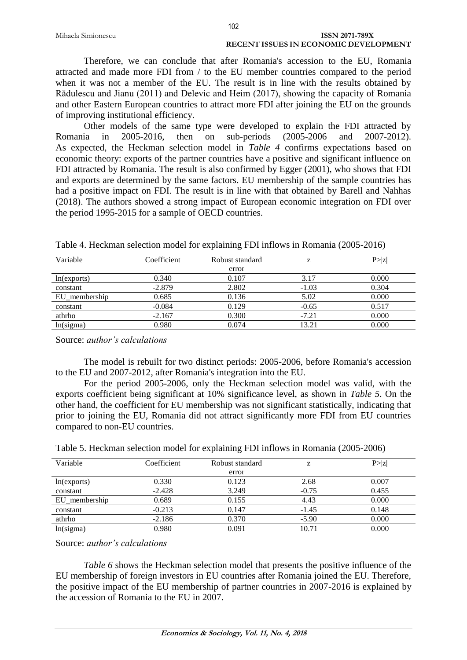|                    | 102                                          |  |
|--------------------|----------------------------------------------|--|
| Mihaela Simionescu | ISSN 2071-789X                               |  |
|                    | <b>RECENT ISSUES IN ECONOMIC DEVELOPMENT</b> |  |

Therefore, we can conclude that after Romania's accession to the EU, Romania attracted and made more FDI from / to the EU member countries compared to the period when it was not a member of the EU. The result is in line with the results obtained by Rădulescu and Jianu (2011) and Delevic and Heim (2017), showing the capacity of Romania and other Eastern European countries to attract more FDI after joining the EU on the grounds of improving institutional efficiency.

Other models of the same type were developed to explain the FDI attracted by Romania in 2005-2016, then on sub-periods (2005-2006 and 2007-2012). As expected, the Heckman selection model in *Table 4* confirms expectations based on economic theory: exports of the partner countries have a positive and significant influence on FDI attracted by Romania. The result is also confirmed by Egger (2001), who shows that FDI and exports are determined by the same factors. EU membership of the sample countries has had a positive impact on FDI. The result is in line with that obtained by Barell and Nahhas (2018). The authors showed a strong impact of European economic integration on FDI over the period 1995-2015 for a sample of OECD countries.

| Variable      | Coefficient | Robust standard | Z.      | P >  z |
|---------------|-------------|-----------------|---------|--------|
|               |             | error           |         |        |
| ln(exports)   | 0.340       | 0.107           | 3.17    | 0.000  |
| constant      | $-2.879$    | 2.802           | $-1.03$ | 0.304  |
| EU membership | 0.685       | 0.136           | 5.02    | 0.000  |
| constant      | $-0.084$    | 0.129           | $-0.65$ | 0.517  |
| athrho        | $-2.167$    | 0.300           | $-7.21$ | 0.000  |
| ln(sigma)     | 0.980       | 0.074           | 13.21   | 0.000  |

Table 4. Heckman selection model for explaining FDI inflows in Romania (2005-2016)

Source: *author's calculations*

The model is rebuilt for two distinct periods: 2005-2006, before Romania's accession to the EU and 2007-2012, after Romania's integration into the EU.

For the period 2005-2006, only the Heckman selection model was valid, with the exports coefficient being significant at 10% significance level, as shown in *Table 5*. On the other hand, the coefficient for EU membership was not significant statistically, indicating that prior to joining the EU, Romania did not attract significantly more FDI from EU countries compared to non-EU countries.

| Variable      | Coefficient | Robust standard | z       | P >  Z |
|---------------|-------------|-----------------|---------|--------|
|               |             | error           |         |        |
| ln(exports)   | 0.330       | 0.123           | 2.68    | 0.007  |
| constant      | $-2.428$    | 3.249           | $-0.75$ | 0.455  |
| EU_membership | 0.689       | 0.155           | 4.43    | 0.000  |
| constant      | $-0.213$    | 0.147           | $-1.45$ | 0.148  |
| athrho        | $-2.186$    | 0.370           | $-5.90$ | 0.000  |
| ln(sigma)     | 0.980       | 0.091           | 10.71   | 0.000  |

Table 5. Heckman selection model for explaining FDI inflows in Romania (2005-2006)

Source: *author's calculations*

*Table 6* shows the Heckman selection model that presents the positive influence of the EU membership of foreign investors in EU countries after Romania joined the EU. Therefore, the positive impact of the EU membership of partner countries in 2007-2016 is explained by the accession of Romania to the EU in 2007.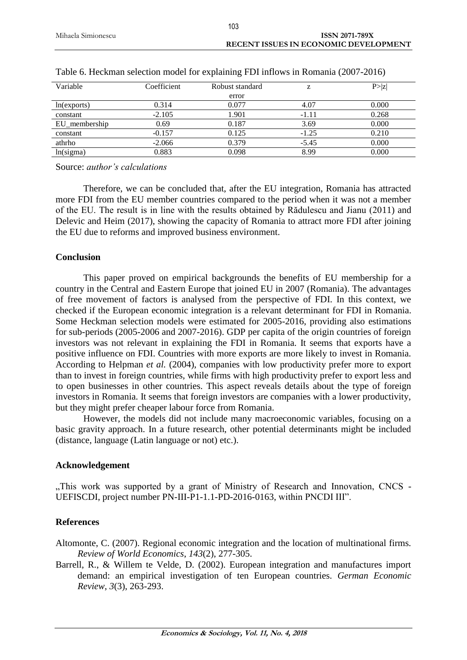| Variable      | Coefficient | Robust standard | z       | P >  z |
|---------------|-------------|-----------------|---------|--------|
|               |             | error           |         |        |
| ln(exports)   | 0.314       | 0.077           | 4.07    | 0.000  |
| constant      | $-2.105$    | 1.901           | $-1.11$ | 0.268  |
| EU_membership | 0.69        | 0.187           | 3.69    | 0.000  |
| constant      | $-0.157$    | 0.125           | $-1.25$ | 0.210  |
| athrho        | $-2.066$    | 0.379           | $-5.45$ | 0.000  |
| ln(sigma)     | 0.883       | 0.098           | 8.99    | 0.000  |

|  |  | Table 6. Heckman selection model for explaining FDI inflows in Romania (2007-2016) |  |  |  |
|--|--|------------------------------------------------------------------------------------|--|--|--|
|  |  |                                                                                    |  |  |  |

Source: *author's calculations*

Therefore, we can be concluded that, after the EU integration, Romania has attracted more FDI from the EU member countries compared to the period when it was not a member of the EU. The result is in line with the results obtained by Rădulescu and Jianu (2011) and Delevic and Heim (2017), showing the capacity of Romania to attract more FDI after joining the EU due to reforms and improved business environment.

#### **Conclusion**

This paper proved on empirical backgrounds the benefits of EU membership for a country in the Central and Eastern Europe that joined EU in 2007 (Romania). The advantages of free movement of factors is analysed from the perspective of FDI. In this context, we checked if the European economic integration is a relevant determinant for FDI in Romania. Some Heckman selection models were estimated for 2005-2016, providing also estimations for sub-periods (2005-2006 and 2007-2016). GDP per capita of the origin countries of foreign investors was not relevant in explaining the FDI in Romania. It seems that exports have a positive influence on FDI. Countries with more exports are more likely to invest in Romania. According to Helpman *et al.* (2004), companies with low productivity prefer more to export than to invest in foreign countries, while firms with high productivity prefer to export less and to open businesses in other countries. This aspect reveals details about the type of foreign investors in Romania. It seems that foreign investors are companies with a lower productivity, but they might prefer cheaper labour force from Romania.

However, the models did not include many macroeconomic variables, focusing on a basic gravity approach. In a future research, other potential determinants might be included (distance, language (Latin language or not) etc.).

## **Acknowledgement**

"This work was supported by a grant of Ministry of Research and Innovation, CNCS -UEFISCDI, project number PN-III-P1-1.1-PD-2016-0163, within PNCDI III".

## **References**

Altomonte, C. (2007). Regional economic integration and the location of multinational firms. *Review of World Economics*, *143*(2), 277-305.

Barrell, R., & Willem te Velde, D. (2002). European integration and manufactures import demand: an empirical investigation of ten European countries. *German Economic Review*, *3*(3), 263-293.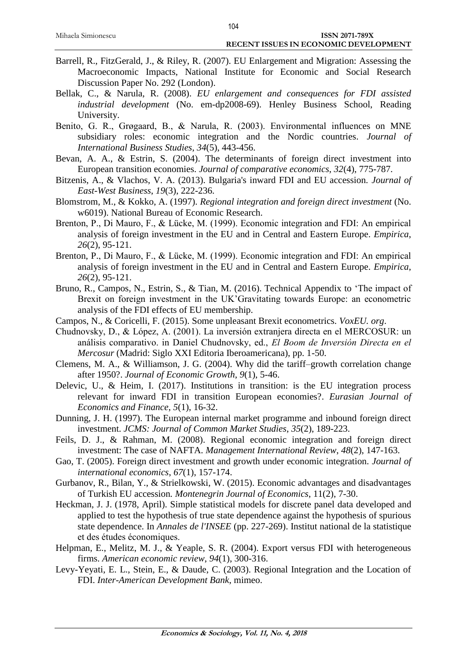- Barrell, R., FitzGerald, J., & Riley, R. (2007). EU Enlargement and Migration: Assessing the Macroeconomic Impacts, National Institute for Economic and Social Research Discussion Paper No. 292 (London).
- Bellak, C., & Narula, R. (2008). *EU enlargement and consequences for FDI assisted industrial development* (No. em-dp2008-69). Henley Business School, Reading University.
- Benito, G. R., Grøgaard, B., & Narula, R. (2003). Environmental influences on MNE subsidiary roles: economic integration and the Nordic countries. *Journal of International Business Studies*, *34*(5), 443-456.
- Bevan, A. A., & Estrin, S. (2004). The determinants of foreign direct investment into European transition economies. *Journal of comparative economics*, *32*(4), 775-787.
- Bitzenis, A., & Vlachos, V. A. (2013). Bulgaria's inward FDI and EU accession. *Journal of East-West Business*, *19*(3), 222-236.
- Blomstrom, M., & Kokko, A. (1997). *Regional integration and foreign direct investment* (No. w6019). National Bureau of Economic Research.
- Brenton, P., Di Mauro, F., & Lücke, M. (1999). Economic integration and FDI: An empirical analysis of foreign investment in the EU and in Central and Eastern Europe. *Empirica*, *26*(2), 95-121.
- Brenton, P., Di Mauro, F., & Lücke, M. (1999). Economic integration and FDI: An empirical analysis of foreign investment in the EU and in Central and Eastern Europe. *Empirica*, *26*(2), 95-121.
- Bruno, R., Campos, N., Estrin, S., & Tian, M. (2016). Technical Appendix to 'The impact of Brexit on foreign investment in the UK'Gravitating towards Europe: an econometric analysis of the FDI effects of EU membership.
- Campos, N., & Coricelli, F. (2015). Some unpleasant Brexit econometrics. *VoxEU. org*.
- Chudnovsky, D., & López, A. (2001). La inversión extranjera directa en el MERCOSUR: un análisis comparativo. in Daniel Chudnovsky, ed., *El Boom de Inversión Directa en el Mercosur* (Madrid: Siglo XXI Editoria Iberoamericana), pp. 1-50.
- Clemens, M. A., & Williamson, J. G. (2004). Why did the tariff–growth correlation change after 1950?. *Journal of Economic Growth*, *9*(1), 5-46.
- Delevic, U., & Heim, I. (2017). Institutions in transition: is the EU integration process relevant for inward FDI in transition European economies?. *Eurasian Journal of Economics and Finance*, *5*(1), 16-32.
- Dunning, J. H. (1997). The European internal market programme and inbound foreign direct investment. *JCMS: Journal of Common Market Studies*, *35*(2), 189-223.
- Feils, D. J., & Rahman, M. (2008). Regional economic integration and foreign direct investment: The case of NAFTA. *Management International Review*, *48*(2), 147-163.
- Gao, T. (2005). Foreign direct investment and growth under economic integration. *Journal of international economics*, *67*(1), 157-174.
- Gurbanov, R., Bilan, Y., & Strielkowski, W. (2015). Economic advantages and disadvantages of Turkish EU accession*. Montenegrin Journal of Economics*, 11(2), 7-30.
- Heckman, J. J. (1978, April). Simple statistical models for discrete panel data developed and applied to test the hypothesis of true state dependence against the hypothesis of spurious state dependence. In *Annales de l'INSEE* (pp. 227-269). Institut national de la statistique et des études économiques.
- Helpman, E., Melitz, M. J., & Yeaple, S. R. (2004). Export versus FDI with heterogeneous firms. *American economic review*, *94*(1), 300-316.
- Levy-Yeyati, E. L., Stein, E., & Daude, C. (2003). Regional Integration and the Location of FDI. *Inter-American Development Bank*, mimeo.